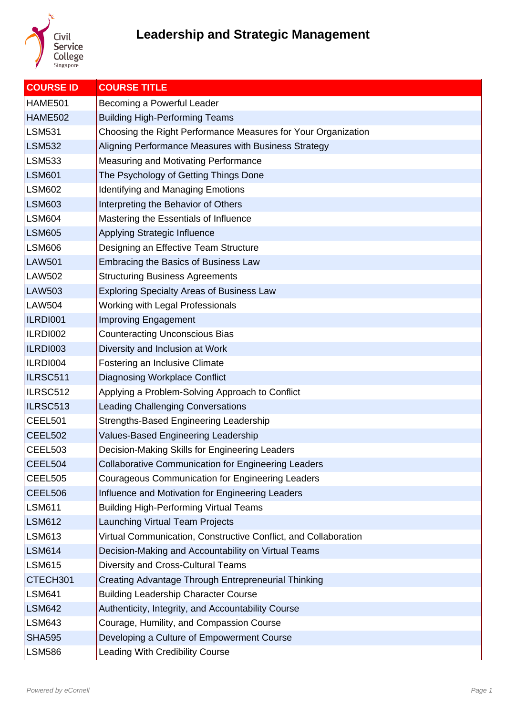

| <b>COURSE ID</b> | <b>COURSE TITLE</b>                                             |
|------------------|-----------------------------------------------------------------|
| <b>HAME501</b>   | Becoming a Powerful Leader                                      |
| <b>HAME502</b>   | <b>Building High-Performing Teams</b>                           |
| <b>LSM531</b>    | Choosing the Right Performance Measures for Your Organization   |
| <b>LSM532</b>    | Aligning Performance Measures with Business Strategy            |
| <b>LSM533</b>    | <b>Measuring and Motivating Performance</b>                     |
| <b>LSM601</b>    | The Psychology of Getting Things Done                           |
| <b>LSM602</b>    | <b>Identifying and Managing Emotions</b>                        |
| <b>LSM603</b>    | Interpreting the Behavior of Others                             |
| <b>LSM604</b>    | Mastering the Essentials of Influence                           |
| <b>LSM605</b>    | Applying Strategic Influence                                    |
| <b>LSM606</b>    | Designing an Effective Team Structure                           |
| <b>LAW501</b>    | <b>Embracing the Basics of Business Law</b>                     |
| <b>LAW502</b>    | <b>Structuring Business Agreements</b>                          |
| <b>LAW503</b>    | <b>Exploring Specialty Areas of Business Law</b>                |
| <b>LAW504</b>    | Working with Legal Professionals                                |
| ILRDI001         | <b>Improving Engagement</b>                                     |
| ILRDI002         | <b>Counteracting Unconscious Bias</b>                           |
| ILRDI003         | Diversity and Inclusion at Work                                 |
| ILRDI004         | Fostering an Inclusive Climate                                  |
| ILRSC511         | <b>Diagnosing Workplace Conflict</b>                            |
| ILRSC512         | Applying a Problem-Solving Approach to Conflict                 |
| ILRSC513         | <b>Leading Challenging Conversations</b>                        |
| CEEL501          | Strengths-Based Engineering Leadership                          |
| <b>CEEL502</b>   | Values-Based Engineering Leadership                             |
| <b>CEEL503</b>   | Decision-Making Skills for Engineering Leaders                  |
| CEEL504          | <b>Collaborative Communication for Engineering Leaders</b>      |
| CEEL505          | <b>Courageous Communication for Engineering Leaders</b>         |
| CEEL506          | Influence and Motivation for Engineering Leaders                |
| <b>LSM611</b>    | <b>Building High-Performing Virtual Teams</b>                   |
| <b>LSM612</b>    | <b>Launching Virtual Team Projects</b>                          |
| <b>LSM613</b>    | Virtual Communication, Constructive Conflict, and Collaboration |
| <b>LSM614</b>    | Decision-Making and Accountability on Virtual Teams             |
| <b>LSM615</b>    | Diversity and Cross-Cultural Teams                              |
| CTECH301         | Creating Advantage Through Entrepreneurial Thinking             |
| <b>LSM641</b>    | <b>Building Leadership Character Course</b>                     |
| <b>LSM642</b>    | Authenticity, Integrity, and Accountability Course              |
| <b>LSM643</b>    | Courage, Humility, and Compassion Course                        |
| <b>SHA595</b>    | Developing a Culture of Empowerment Course                      |
| <b>LSM586</b>    | Leading With Credibility Course                                 |